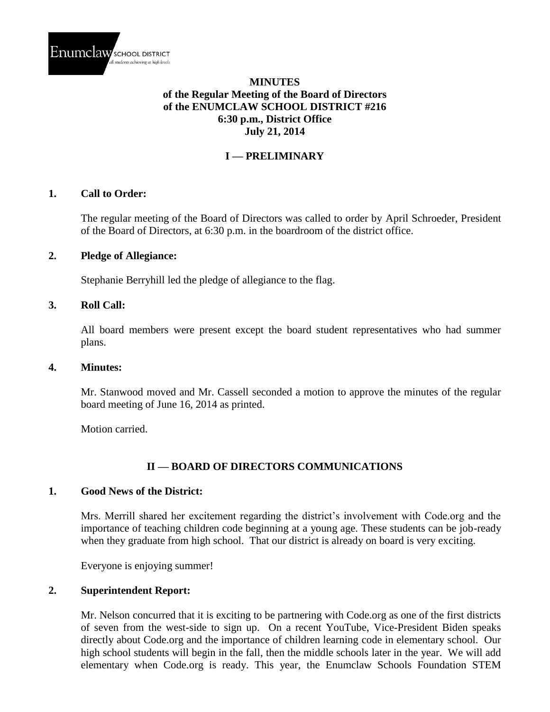

### **MINUTES of the Regular Meeting of the Board of Directors of the ENUMCLAW SCHOOL DISTRICT #216 6:30 p.m., District Office July 21, 2014**

### **I — PRELIMINARY**

#### **1. Call to Order:**

The regular meeting of the Board of Directors was called to order by April Schroeder, President of the Board of Directors, at 6:30 p.m. in the boardroom of the district office.

#### **2. Pledge of Allegiance:**

Stephanie Berryhill led the pledge of allegiance to the flag.

#### **3. Roll Call:**

All board members were present except the board student representatives who had summer plans.

#### **4. Minutes:**

Mr. Stanwood moved and Mr. Cassell seconded a motion to approve the minutes of the regular board meeting of June 16, 2014 as printed.

Motion carried.

#### **II — BOARD OF DIRECTORS COMMUNICATIONS**

#### **1. Good News of the District:**

Mrs. Merrill shared her excitement regarding the district's involvement with Code.org and the importance of teaching children code beginning at a young age. These students can be job-ready when they graduate from high school. That our district is already on board is very exciting.

Everyone is enjoying summer!

#### **2. Superintendent Report:**

Mr. Nelson concurred that it is exciting to be partnering with Code.org as one of the first districts of seven from the west-side to sign up. On a recent YouTube, Vice-President Biden speaks directly about Code.org and the importance of children learning code in elementary school. Our high school students will begin in the fall, then the middle schools later in the year. We will add elementary when Code.org is ready. This year, the Enumclaw Schools Foundation STEM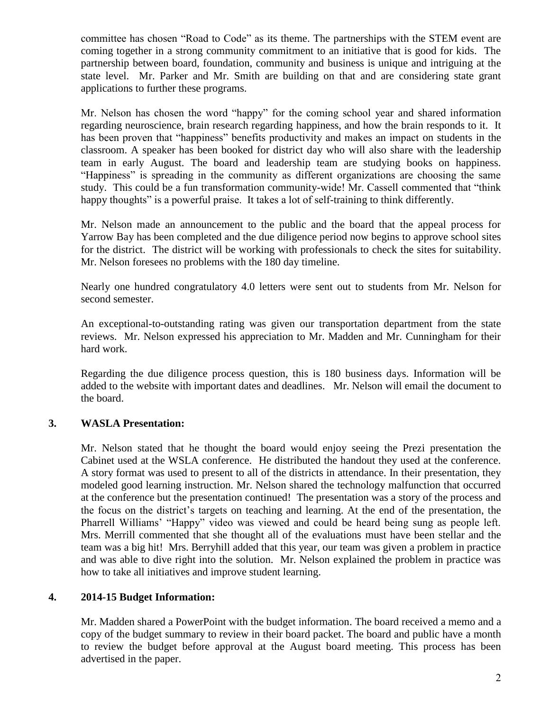committee has chosen "Road to Code" as its theme. The partnerships with the STEM event are coming together in a strong community commitment to an initiative that is good for kids. The partnership between board, foundation, community and business is unique and intriguing at the state level. Mr. Parker and Mr. Smith are building on that and are considering state grant applications to further these programs.

Mr. Nelson has chosen the word "happy" for the coming school year and shared information regarding neuroscience, brain research regarding happiness, and how the brain responds to it. It has been proven that "happiness" benefits productivity and makes an impact on students in the classroom. A speaker has been booked for district day who will also share with the leadership team in early August. The board and leadership team are studying books on happiness. "Happiness" is spreading in the community as different organizations are choosing the same study. This could be a fun transformation community-wide! Mr. Cassell commented that "think happy thoughts" is a powerful praise. It takes a lot of self-training to think differently.

Mr. Nelson made an announcement to the public and the board that the appeal process for Yarrow Bay has been completed and the due diligence period now begins to approve school sites for the district. The district will be working with professionals to check the sites for suitability. Mr. Nelson foresees no problems with the 180 day timeline.

Nearly one hundred congratulatory 4.0 letters were sent out to students from Mr. Nelson for second semester.

An exceptional-to-outstanding rating was given our transportation department from the state reviews. Mr. Nelson expressed his appreciation to Mr. Madden and Mr. Cunningham for their hard work.

Regarding the due diligence process question, this is 180 business days. Information will be added to the website with important dates and deadlines. Mr. Nelson will email the document to the board.

## **3. WASLA Presentation:**

Mr. Nelson stated that he thought the board would enjoy seeing the Prezi presentation the Cabinet used at the WSLA conference. He distributed the handout they used at the conference. A story format was used to present to all of the districts in attendance. In their presentation, they modeled good learning instruction. Mr. Nelson shared the technology malfunction that occurred at the conference but the presentation continued! The presentation was a story of the process and the focus on the district's targets on teaching and learning. At the end of the presentation, the Pharrell Williams' "Happy" video was viewed and could be heard being sung as people left. Mrs. Merrill commented that she thought all of the evaluations must have been stellar and the team was a big hit! Mrs. Berryhill added that this year, our team was given a problem in practice and was able to dive right into the solution. Mr. Nelson explained the problem in practice was how to take all initiatives and improve student learning.

### **4. 2014-15 Budget Information:**

Mr. Madden shared a PowerPoint with the budget information. The board received a memo and a copy of the budget summary to review in their board packet. The board and public have a month to review the budget before approval at the August board meeting. This process has been advertised in the paper.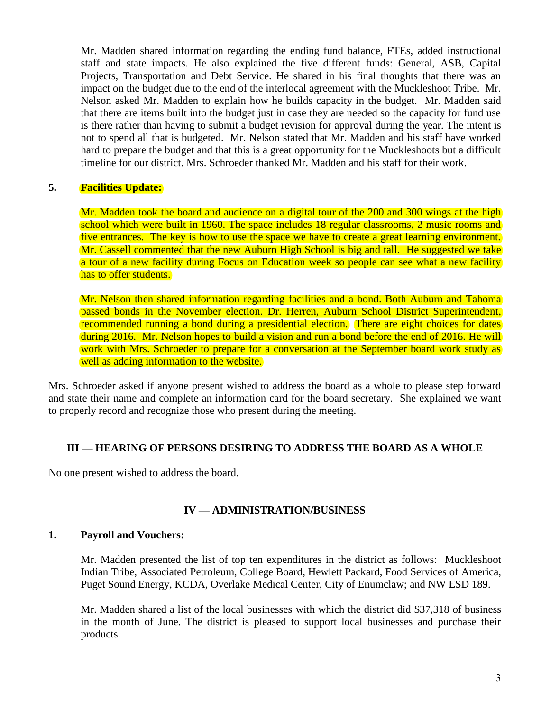Mr. Madden shared information regarding the ending fund balance, FTEs, added instructional staff and state impacts. He also explained the five different funds: General, ASB, Capital Projects, Transportation and Debt Service. He shared in his final thoughts that there was an impact on the budget due to the end of the interlocal agreement with the Muckleshoot Tribe. Mr. Nelson asked Mr. Madden to explain how he builds capacity in the budget. Mr. Madden said that there are items built into the budget just in case they are needed so the capacity for fund use is there rather than having to submit a budget revision for approval during the year. The intent is not to spend all that is budgeted. Mr. Nelson stated that Mr. Madden and his staff have worked hard to prepare the budget and that this is a great opportunity for the Muckleshoots but a difficult timeline for our district. Mrs. Schroeder thanked Mr. Madden and his staff for their work.

### **5. Facilities Update:**

Mr. Madden took the board and audience on a digital tour of the 200 and 300 wings at the high school which were built in 1960. The space includes 18 regular classrooms, 2 music rooms and five entrances. The key is how to use the space we have to create a great learning environment. Mr. Cassell commented that the new Auburn High School is big and tall. He suggested we take a tour of a new facility during Focus on Education week so people can see what a new facility has to offer students.

Mr. Nelson then shared information regarding facilities and a bond. Both Auburn and Tahoma passed bonds in the November election. Dr. Herren, Auburn School District Superintendent, recommended running a bond during a presidential election. There are eight choices for dates during 2016. Mr. Nelson hopes to build a vision and run a bond before the end of 2016. He will work with Mrs. Schroeder to prepare for a conversation at the September board work study as well as adding information to the website.

Mrs. Schroeder asked if anyone present wished to address the board as a whole to please step forward and state their name and complete an information card for the board secretary. She explained we want to properly record and recognize those who present during the meeting.

#### **III — HEARING OF PERSONS DESIRING TO ADDRESS THE BOARD AS A WHOLE**

No one present wished to address the board.

#### **IV — ADMINISTRATION/BUSINESS**

#### **1. Payroll and Vouchers:**

Mr. Madden presented the list of top ten expenditures in the district as follows: Muckleshoot Indian Tribe, Associated Petroleum, College Board, Hewlett Packard, Food Services of America, Puget Sound Energy, KCDA, Overlake Medical Center, City of Enumclaw; and NW ESD 189.

Mr. Madden shared a list of the local businesses with which the district did \$37,318 of business in the month of June. The district is pleased to support local businesses and purchase their products.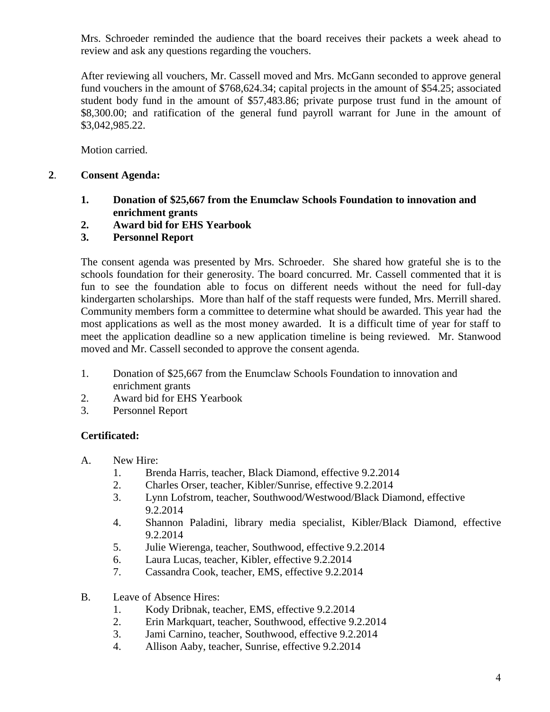Mrs. Schroeder reminded the audience that the board receives their packets a week ahead to review and ask any questions regarding the vouchers.

After reviewing all vouchers, Mr. Cassell moved and Mrs. McGann seconded to approve general fund vouchers in the amount of \$768,624.34; capital projects in the amount of \$54.25; associated student body fund in the amount of \$57,483.86; private purpose trust fund in the amount of \$8,300.00; and ratification of the general fund payroll warrant for June in the amount of \$3,042,985.22.

Motion carried.

### **2**. **Consent Agenda:**

- **1. Donation of \$25,667 from the Enumclaw Schools Foundation to innovation and enrichment grants**
- **2. Award bid for EHS Yearbook**
- **3. Personnel Report**

The consent agenda was presented by Mrs. Schroeder. She shared how grateful she is to the schools foundation for their generosity. The board concurred. Mr. Cassell commented that it is fun to see the foundation able to focus on different needs without the need for full-day kindergarten scholarships. More than half of the staff requests were funded, Mrs. Merrill shared. Community members form a committee to determine what should be awarded. This year had the most applications as well as the most money awarded. It is a difficult time of year for staff to meet the application deadline so a new application timeline is being reviewed. Mr. Stanwood moved and Mr. Cassell seconded to approve the consent agenda.

- 1. Donation of \$25,667 from the Enumclaw Schools Foundation to innovation and enrichment grants
- 2. Award bid for EHS Yearbook
- 3. Personnel Report

## **Certificated:**

- A. New Hire:
	- 1. Brenda Harris, teacher, Black Diamond, effective 9.2.2014
	- 2. Charles Orser, teacher, Kibler/Sunrise, effective 9.2.2014
	- 3. Lynn Lofstrom, teacher, Southwood/Westwood/Black Diamond, effective 9.2.2014
	- 4. Shannon Paladini, library media specialist, Kibler/Black Diamond, effective 9.2.2014
	- 5. Julie Wierenga, teacher, Southwood, effective 9.2.2014
	- 6. Laura Lucas, teacher, Kibler, effective 9.2.2014
	- 7. Cassandra Cook, teacher, EMS, effective 9.2.2014
- B. Leave of Absence Hires:
	- 1. Kody Dribnak, teacher, EMS, effective 9.2.2014
	- 2. Erin Markquart, teacher, Southwood, effective 9.2.2014
	- 3. Jami Carnino, teacher, Southwood, effective 9.2.2014
	- 4. Allison Aaby, teacher, Sunrise, effective 9.2.2014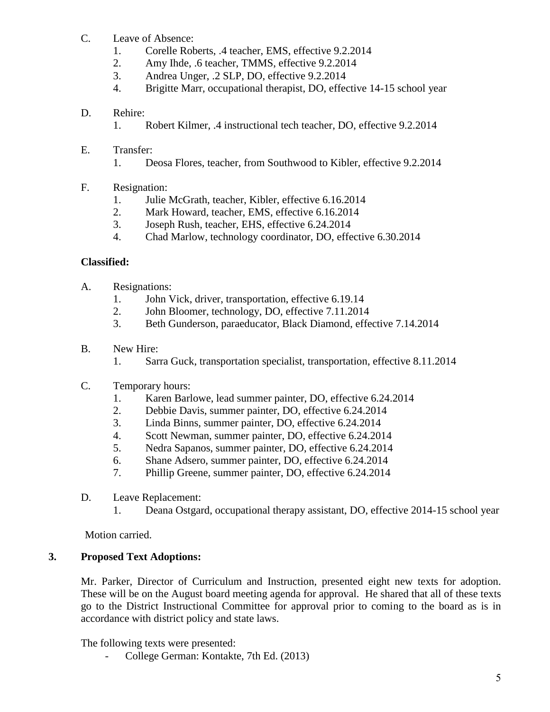- C. Leave of Absence:
	- 1. Corelle Roberts, .4 teacher, EMS, effective 9.2.2014
	- 2. Amy Ihde, .6 teacher, TMMS, effective 9.2.2014
	- 3. Andrea Unger, .2 SLP, DO, effective 9.2.2014
	- 4. Brigitte Marr, occupational therapist, DO, effective 14-15 school year

### D. Rehire:

- 1. Robert Kilmer, .4 instructional tech teacher, DO, effective 9.2.2014
- E. Transfer:
	- 1. Deosa Flores, teacher, from Southwood to Kibler, effective 9.2.2014
- F. Resignation:
	- 1. Julie McGrath, teacher, Kibler, effective 6.16.2014
	- 2. Mark Howard, teacher, EMS, effective 6.16.2014
	- 3. Joseph Rush, teacher, EHS, effective 6.24.2014
	- 4. Chad Marlow, technology coordinator, DO, effective 6.30.2014

## **Classified:**

- A. Resignations:
	- 1. John Vick, driver, transportation, effective 6.19.14
	- 2. John Bloomer, technology, DO, effective 7.11.2014
	- 3. Beth Gunderson, paraeducator, Black Diamond, effective 7.14.2014
- B. New Hire:
	- 1. Sarra Guck, transportation specialist, transportation, effective 8.11.2014
- C. Temporary hours:
	- 1. Karen Barlowe, lead summer painter, DO, effective 6.24.2014
	- 2. Debbie Davis, summer painter, DO, effective 6.24.2014
	- 3. Linda Binns, summer painter, DO, effective 6.24.2014
	- 4. Scott Newman, summer painter, DO, effective 6.24.2014
	- 5. Nedra Sapanos, summer painter, DO, effective 6.24.2014
	- 6. Shane Adsero, summer painter, DO, effective 6.24.2014
	- 7. Phillip Greene, summer painter, DO, effective 6.24.2014
- D. Leave Replacement:
	- 1. Deana Ostgard, occupational therapy assistant, DO, effective 2014-15 school year

Motion carried.

## **3. Proposed Text Adoptions:**

Mr. Parker, Director of Curriculum and Instruction, presented eight new texts for adoption. These will be on the August board meeting agenda for approval. He shared that all of these texts go to the District Instructional Committee for approval prior to coming to the board as is in accordance with district policy and state laws.

The following texts were presented:

College German: Kontakte, 7th Ed. (2013)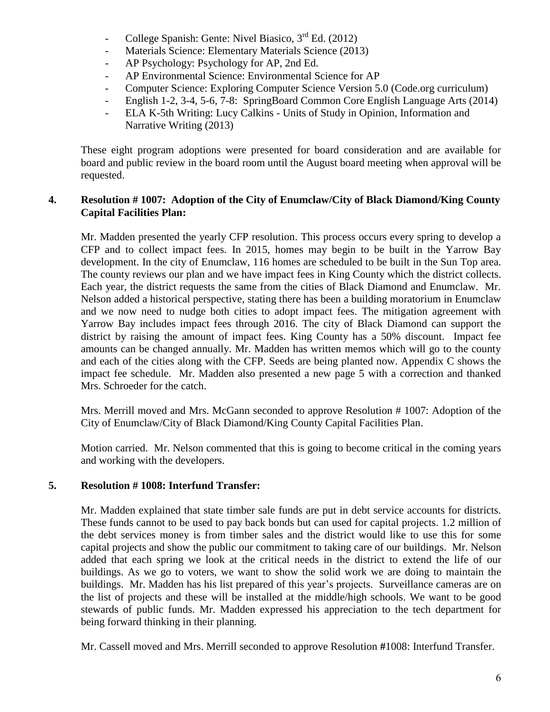- College Spanish: Gente: Nivel Biasico,  $3<sup>rd</sup>$  Ed. (2012)
- Materials Science: Elementary Materials Science (2013)
- AP Psychology: Psychology for AP, 2nd Ed.
- AP Environmental Science: Environmental Science for AP
- Computer Science: Exploring Computer Science Version 5.0 (Code.org curriculum)
- English 1-2, 3-4, 5-6, 7-8: SpringBoard Common Core English Language Arts (2014)
- ELA K-5th Writing: Lucy Calkins Units of Study in Opinion, Information and Narrative Writing (2013)

These eight program adoptions were presented for board consideration and are available for board and public review in the board room until the August board meeting when approval will be requested.

### **4. Resolution # 1007: Adoption of the City of Enumclaw/City of Black Diamond/King County Capital Facilities Plan:**

Mr. Madden presented the yearly CFP resolution. This process occurs every spring to develop a CFP and to collect impact fees. In 2015, homes may begin to be built in the Yarrow Bay development. In the city of Enumclaw, 116 homes are scheduled to be built in the Sun Top area. The county reviews our plan and we have impact fees in King County which the district collects. Each year, the district requests the same from the cities of Black Diamond and Enumclaw. Mr. Nelson added a historical perspective, stating there has been a building moratorium in Enumclaw and we now need to nudge both cities to adopt impact fees. The mitigation agreement with Yarrow Bay includes impact fees through 2016. The city of Black Diamond can support the district by raising the amount of impact fees. King County has a 50% discount. Impact fee amounts can be changed annually. Mr. Madden has written memos which will go to the county and each of the cities along with the CFP. Seeds are being planted now. Appendix C shows the impact fee schedule. Mr. Madden also presented a new page 5 with a correction and thanked Mrs. Schroeder for the catch.

Mrs. Merrill moved and Mrs. McGann seconded to approve Resolution # 1007: Adoption of the City of Enumclaw/City of Black Diamond/King County Capital Facilities Plan.

Motion carried. Mr. Nelson commented that this is going to become critical in the coming years and working with the developers.

## **5. Resolution # 1008: Interfund Transfer:**

Mr. Madden explained that state timber sale funds are put in debt service accounts for districts. These funds cannot to be used to pay back bonds but can used for capital projects. 1.2 million of the debt services money is from timber sales and the district would like to use this for some capital projects and show the public our commitment to taking care of our buildings. Mr. Nelson added that each spring we look at the critical needs in the district to extend the life of our buildings. As we go to voters, we want to show the solid work we are doing to maintain the buildings. Mr. Madden has his list prepared of this year's projects. Surveillance cameras are on the list of projects and these will be installed at the middle/high schools. We want to be good stewards of public funds. Mr. Madden expressed his appreciation to the tech department for being forward thinking in their planning.

Mr. Cassell moved and Mrs. Merrill seconded to approve Resolution **#**1008: Interfund Transfer.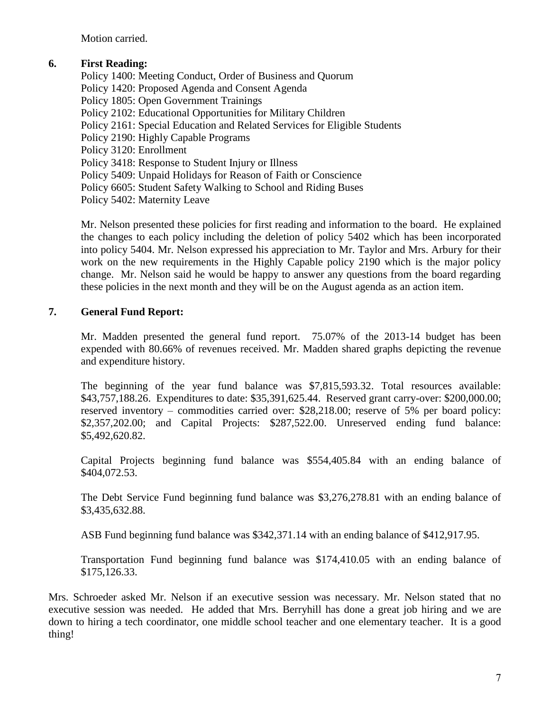Motion carried.

### **6. First Reading:**

Policy 1400: Meeting Conduct, Order of Business and Quorum Policy 1420: Proposed Agenda and Consent Agenda Policy 1805: Open Government Trainings Policy 2102: Educational Opportunities for Military Children Policy 2161: Special Education and Related Services for Eligible Students Policy 2190: Highly Capable Programs Policy 3120: Enrollment Policy 3418: Response to Student Injury or Illness Policy 5409: Unpaid Holidays for Reason of Faith or Conscience Policy 6605: Student Safety Walking to School and Riding Buses Policy 5402: Maternity Leave

Mr. Nelson presented these policies for first reading and information to the board. He explained the changes to each policy including the deletion of policy 5402 which has been incorporated into policy 5404. Mr. Nelson expressed his appreciation to Mr. Taylor and Mrs. Arbury for their work on the new requirements in the Highly Capable policy 2190 which is the major policy change. Mr. Nelson said he would be happy to answer any questions from the board regarding these policies in the next month and they will be on the August agenda as an action item.

### **7. General Fund Report:**

Mr. Madden presented the general fund report. 75.07% of the 2013-14 budget has been expended with 80.66% of revenues received. Mr. Madden shared graphs depicting the revenue and expenditure history.

The beginning of the year fund balance was \$7,815,593.32. Total resources available: \$43,757,188.26. Expenditures to date: \$35,391,625.44. Reserved grant carry-over: \$200,000.00; reserved inventory – commodities carried over: \$28,218.00; reserve of 5% per board policy: \$2,357,202.00; and Capital Projects: \$287,522.00. Unreserved ending fund balance: \$5,492,620.82.

Capital Projects beginning fund balance was \$554,405.84 with an ending balance of \$404,072.53.

The Debt Service Fund beginning fund balance was \$3,276,278.81 with an ending balance of \$3,435,632.88.

ASB Fund beginning fund balance was \$342,371.14 with an ending balance of \$412,917.95.

Transportation Fund beginning fund balance was \$174,410.05 with an ending balance of \$175,126.33.

Mrs. Schroeder asked Mr. Nelson if an executive session was necessary. Mr. Nelson stated that no executive session was needed. He added that Mrs. Berryhill has done a great job hiring and we are down to hiring a tech coordinator, one middle school teacher and one elementary teacher. It is a good thing!